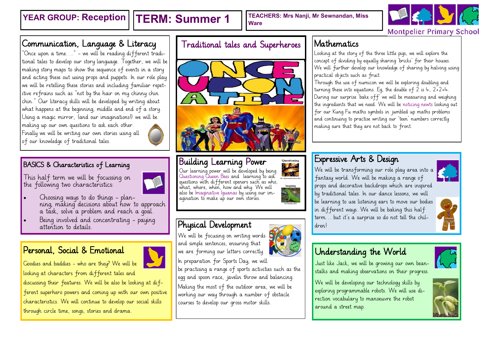**YEAR GROUP: Reception | TERM: Summer 1** | TEACHERS: Mrs Nanji, Mr Sewnandan, Miss **Ware**



## Communication, Language & Literacy

"Once upon a time…." - we will be reading different traditional tales to develop our story language. Together, we will be making story maps to show the sequence of events in a story and acting these out using props and puppets. In our role play we will be retelling these stories and including familiar repetitive refrains such as "not by the hair on my chinny chin chin." Our literacy skills will be developed by writing about what happens at the beginning, middle and end of a story. Using a magic mirror, (and our imaginations!) we will be making up our own questions to ask each other. Finally we will be writing our own stories using all



#### BASICS & Characteristics of Learning

of our knowledge of traditional tales.

This half term we will be focussing on the following two characteristics:



- Choosing ways to do things planning, making decisions about how to approach a task, solve a problem and reach a goal.
- Being involved and concentrating paying attention to details.

### Personal, Social & Emotional



Goodies and baddies - who are they? We will be looking at characters from different tales and discussing their features. We will be also be looking at different superhero powers and coming up with our own positive characteristics. We will continue to develop our social skills through circle time, songs, stories and drama.

### Traditional tales and Superheroes



## Building Learning Power

Our learning power will be developed by being Questioning Queen Bees and learning to ask questions with different openers such as who, what, where, when, how and why. We will also be Imaginative Iguanas by using our imagination to make up our own stories.



Questioning

### Physical Development

We will be focusing on writing words **O** and simple sentences, ensuring that we are forming our letters correctly.

In preparation for Sports Day, we will

be practising a range of sports activities such as the egg and spoon race, javelin throw and balancing. Making the most of the outdoor area, we will be working our way through a number of obstacle courses to develop our gross motor skills.

### Mathematics

Looking at the story of the three little pigs, we will explore the concept of dividing by equally sharing 'bricks' for their houses. We will further develop our knowledge of sharing by halving using practical objects such as fruit.

Through the use of numicon we will be exploring doubling and turning these into equations. Eq, the double of 2 is  $4$ ,  $2+2=4$ . During our surprise 'bake off' we will be measuring and weighing the ingredients that we need. We will be noticing newts looking out for our Kung Fu maths symbols in jumbled up maths problems and continuing to practise writing our 'teen' numbers correctly making sure that they are not back to front.

### Expressive Arts & Design

We will be transforming our role play area into a fantasy world. We will be making a range of props and decorative backdrops which are inspired by traditional tales. In our dance lessons, we will be learning to use listening ears to move our bodies in different ways. We will be baking this half term… but it's a surprise so do not tell the children!



# Understanding the World

Just like Jack, we will be growing our own beanstalks and making observations on their progress.

We will be developing our technology skills by exploring programmable robots. We will use direction vocabulary to manoeuvre the robot around a street map.